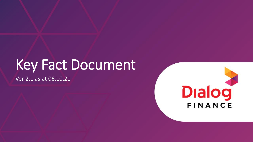# Key Fact Document

Ver 2.1 as at 06.10.21

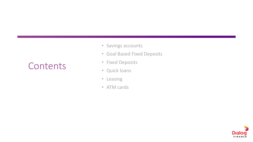# **Contents**

- Savings accounts
- Goal Based Fixed Deposits
- Fixed Deposits
- Quick loans
- Leasing
- ATM cards

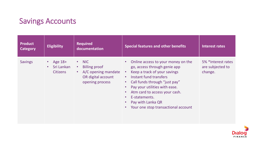### Savings Accounts

| <b>Product</b><br><b>Category</b> | <b>Eligibility</b>                           | <b>Required</b><br>documentation                                                                                                  | <b>Special features and other benefits</b>                                                                                                                                                                                                                                                                                                                             | Interest rates                                    |
|-----------------------------------|----------------------------------------------|-----------------------------------------------------------------------------------------------------------------------------------|------------------------------------------------------------------------------------------------------------------------------------------------------------------------------------------------------------------------------------------------------------------------------------------------------------------------------------------------------------------------|---------------------------------------------------|
| <b>Savings</b>                    | • Age $18+$<br>Sri Lankan<br><b>Citizens</b> | $\cdot$ NIC<br><b>Billing proof</b><br>$\bullet$ .<br>A/C opening mandate<br>$\bullet$ .<br>OR digital account<br>opening process | • Online access to your money on the<br>go, access through genie app<br>Keep a track of your savings<br>$\bullet$<br>Instant fund transfers<br>$\bullet$<br>Call funds through "just pay"<br>$\bullet$ .<br>Pay your utilities with ease.<br>Atm card to access your cash.<br>E-statements.<br>$\bullet$<br>Pay with Lanka QR<br>• Your one stop transactional account | 5% *Interest rates<br>are subjected to<br>change. |

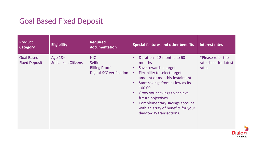#### Goal Based Fixed Deposit

| <b>Product</b><br><b>Category</b>         | <b>Eligibility</b>             | <b>Required</b><br>documentation                                                       | <b>Special features and other benefits</b>                                                                                                                                                                                                                                                                                                                                             | <b>Interest rates</b>                                |
|-------------------------------------------|--------------------------------|----------------------------------------------------------------------------------------|----------------------------------------------------------------------------------------------------------------------------------------------------------------------------------------------------------------------------------------------------------------------------------------------------------------------------------------------------------------------------------------|------------------------------------------------------|
| <b>Goal Based</b><br><b>Fixed Deposit</b> | Age 18+<br>Sri Lankan Citizens | <b>NIC</b><br><b>Selfie</b><br><b>Billing Proof</b><br><b>Digital KYC verification</b> | Duration - 12 months to 60<br>months<br>Save towards a target<br>$\bullet$<br>Flexibility to select target<br>$\bullet$<br>amount or monthly instalment<br>Start savings from as low as Rs<br>100.00<br>Grow your savings to achieve<br>$\bullet$<br>future objectives<br>Complementary savings account<br>$\bullet$<br>with an array of benefits for your<br>day-to-day transactions. | *Please refer the<br>rate sheet for latest<br>rates. |

**Dialo** FINANCE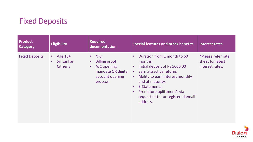# Fixed Deposits

| <b>Product</b><br><b>Category</b> | <b>Eligibility</b>                                                 | <b>Required</b><br>documentation                                                                                         | <b>Special features and other benefits</b>                                                                                                                                                                                                                                                                                                  | Interest rates                                            |
|-----------------------------------|--------------------------------------------------------------------|--------------------------------------------------------------------------------------------------------------------------|---------------------------------------------------------------------------------------------------------------------------------------------------------------------------------------------------------------------------------------------------------------------------------------------------------------------------------------------|-----------------------------------------------------------|
| <b>Fixed Deposits</b>             | Age 18+<br>$\bullet$<br>Sri Lankan<br>$\bullet$<br><b>Citizens</b> | NIC<br>$\bullet$<br><b>Billing proof</b><br>$\bullet$<br>A/C opening<br>mandate OR digital<br>account opening<br>process | Duration from 1 month to 60<br>$\bullet$<br>months.<br>Initial deposit of Rs 5000.00<br>$\bullet$<br>Earn attractive returns<br>$\bullet$<br>Ability to earn interest monthly<br>$\bullet$ .<br>and at maturity.<br>E-Statements.<br>$\bullet$<br>Premature upliftment's via<br>$\bullet$<br>request letter or registered email<br>address. | *Please refer rate<br>sheet for latest<br>interest rates. |

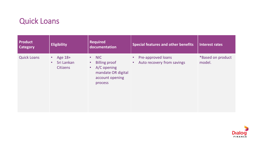#### Quick Loans

| <b>Product</b><br><b>Category</b> | <b>Eligibility</b>                                    | <b>Required</b><br>documentation                                                                                                               | <b>Special features and other benefits</b>                    | Interest rates              |
|-----------------------------------|-------------------------------------------------------|------------------------------------------------------------------------------------------------------------------------------------------------|---------------------------------------------------------------|-----------------------------|
| <b>Quick Loans</b>                | Age 18+<br>$\bullet$<br>Sri Lankan<br><b>Citizens</b> | <b>NIC</b><br>$\bullet$ .<br><b>Billing proof</b><br>$\bullet$<br>A/C opening<br>$\bullet$<br>mandate OR digital<br>account opening<br>process | Pre-approved loans<br>Auto recovery from savings<br>$\bullet$ | *Based on product<br>model. |

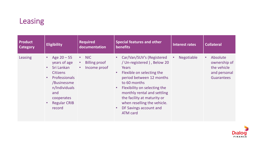# Leasing

| <b>Product</b><br>Category | <b>Eligibility</b>                                                                                                                                                                                                        | <b>Required</b><br>documentation                                                   | <b>Special features and other</b><br>benefits                                                                                                                                                                                                                                                                          | Interest rates | <b>Collateral</b>                                                                         |
|----------------------------|---------------------------------------------------------------------------------------------------------------------------------------------------------------------------------------------------------------------------|------------------------------------------------------------------------------------|------------------------------------------------------------------------------------------------------------------------------------------------------------------------------------------------------------------------------------------------------------------------------------------------------------------------|----------------|-------------------------------------------------------------------------------------------|
| Leasing                    | Age $20 - 55$<br>$\bullet$<br>years of age<br>Sri Lankan<br>$\bullet$<br><b>Citizens</b><br>Professionals<br>$\bullet$<br>/Businessme<br>n/Individuals<br>and<br>cooperates<br><b>Regular CRIB</b><br>$\bullet$<br>record | NIC<br>$\bullet$<br><b>Billing proof</b><br>$\bullet$<br>Income proof<br>$\bullet$ | • Car/Van/SUV's (Registered<br>/ Un-registered ), Below 20<br>Years<br>Flexible on selecting the<br>period between 12 months<br>to 60 months<br>Flexibility on selecting the<br>monthly rental and settling<br>the facility at maturity or<br>when reselling the vehicle.<br>DF Savings account and<br><b>ATM card</b> | Negotiable     | Absolute<br>$\bullet$<br>ownership of<br>the vehicle<br>and personal<br><b>Guarantees</b> |

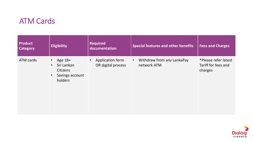#### ATM Cards

| <b>Product</b><br><b>Category</b> | <b>Eligibility</b>                                                                                            | <b>Required</b><br>documentation                    | <b>Special features and other benefits</b>             | <b>Fees and Charges</b>                                |
|-----------------------------------|---------------------------------------------------------------------------------------------------------------|-----------------------------------------------------|--------------------------------------------------------|--------------------------------------------------------|
| ATM cards                         | Age 18+<br>$\bullet$<br>Sri Lankan<br>$\bullet$<br><b>Citizens</b><br>Savings account<br>$\bullet$<br>holders | Application form<br>$\bullet$<br>OR digital process | Withdraw from any LankaPay<br>$\bullet$<br>network ATM | *Please refer latest<br>Tariff for fees and<br>charges |